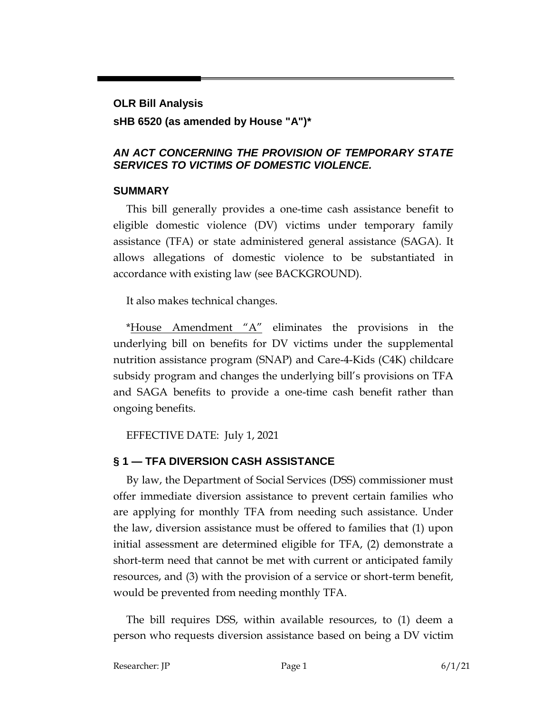# **OLR Bill Analysis sHB 6520 (as amended by House "A")\***

#### *AN ACT CONCERNING THE PROVISION OF TEMPORARY STATE SERVICES TO VICTIMS OF DOMESTIC VIOLENCE.*

#### **SUMMARY**

This bill generally provides a one-time cash assistance benefit to eligible domestic violence (DV) victims under temporary family assistance (TFA) or state administered general assistance (SAGA). It allows allegations of domestic violence to be substantiated in accordance with existing law (see BACKGROUND).

It also makes technical changes.

\*House Amendment " $A$ " eliminates the provisions in the underlying bill on benefits for DV victims under the supplemental nutrition assistance program (SNAP) and Care-4-Kids (C4K) childcare subsidy program and changes the underlying bill's provisions on TFA and SAGA benefits to provide a one-time cash benefit rather than ongoing benefits.

EFFECTIVE DATE: July 1, 2021

## **§ 1 — TFA DIVERSION CASH ASSISTANCE**

By law, the Department of Social Services (DSS) commissioner must offer immediate diversion assistance to prevent certain families who are applying for monthly TFA from needing such assistance. Under the law, diversion assistance must be offered to families that (1) upon initial assessment are determined eligible for TFA, (2) demonstrate a short-term need that cannot be met with current or anticipated family resources, and (3) with the provision of a service or short-term benefit, would be prevented from needing monthly TFA.

The bill requires DSS, within available resources, to (1) deem a person who requests diversion assistance based on being a DV victim

Researcher: JP Page 1 6/1/21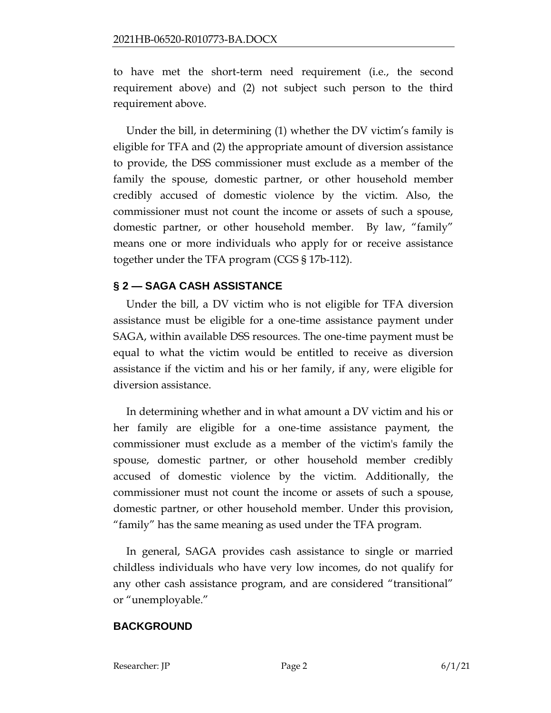to have met the short-term need requirement (i.e., the second requirement above) and (2) not subject such person to the third requirement above.

Under the bill, in determining (1) whether the DV victim's family is eligible for TFA and (2) the appropriate amount of diversion assistance to provide, the DSS commissioner must exclude as a member of the family the spouse, domestic partner, or other household member credibly accused of domestic violence by the victim. Also, the commissioner must not count the income or assets of such a spouse, domestic partner, or other household member. By law, "family" means one or more individuals who apply for or receive assistance together under the TFA program (CGS § 17b-112).

#### **§ 2 — SAGA CASH ASSISTANCE**

Under the bill, a DV victim who is not eligible for TFA diversion assistance must be eligible for a one-time assistance payment under SAGA, within available DSS resources. The one-time payment must be equal to what the victim would be entitled to receive as diversion assistance if the victim and his or her family, if any, were eligible for diversion assistance.

In determining whether and in what amount a DV victim and his or her family are eligible for a one-time assistance payment, the commissioner must exclude as a member of the victim's family the spouse, domestic partner, or other household member credibly accused of domestic violence by the victim. Additionally, the commissioner must not count the income or assets of such a spouse, domestic partner, or other household member. Under this provision, "family" has the same meaning as used under the TFA program.

In general, SAGA provides cash assistance to single or married childless individuals who have very low incomes, do not qualify for any other cash assistance program, and are considered "transitional" or "unemployable."

#### **BACKGROUND**